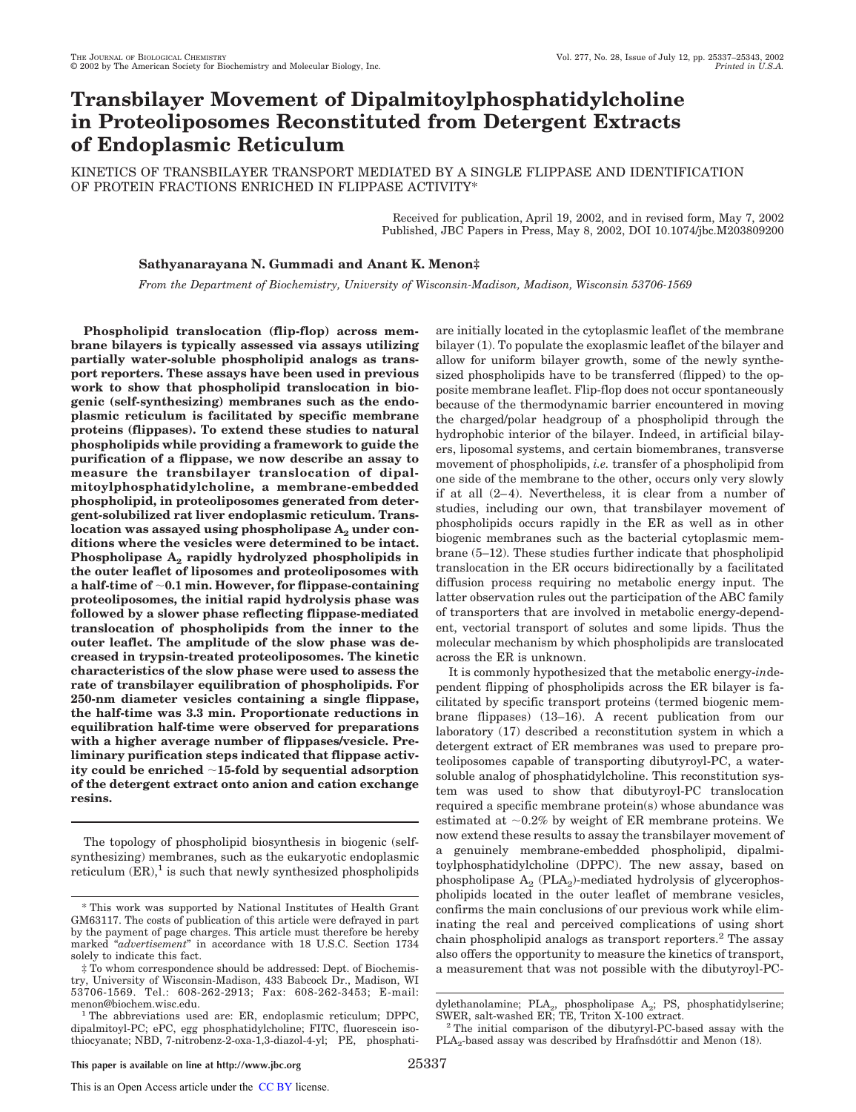# **Transbilayer Movement of Dipalmitoylphosphatidylcholine in Proteoliposomes Reconstituted from Detergent Extracts of Endoplasmic Reticulum**

KINETICS OF TRANSBILAYER TRANSPORT MEDIATED BY A SINGLE FLIPPASE AND IDENTIFICATION OF PROTEIN FRACTIONS ENRICHED IN FLIPPASE ACTIVITY\*

> Received for publication, April 19, 2002, and in revised form, May 7, 2002 Published, JBC Papers in Press, May 8, 2002, DOI 10.1074/jbc.M203809200

# **Sathyanarayana N. Gummadi and Anant K. Menon‡**

*From the Department of Biochemistry, University of Wisconsin-Madison, Madison, Wisconsin 53706-1569*

**Phospholipid translocation (flip-flop) across membrane bilayers is typically assessed via assays utilizing partially water-soluble phospholipid analogs as transport reporters. These assays have been used in previous work to show that phospholipid translocation in biogenic (self-synthesizing) membranes such as the endoplasmic reticulum is facilitated by specific membrane proteins (flippases). To extend these studies to natural phospholipids while providing a framework to guide the purification of a flippase, we now describe an assay to measure the transbilayer translocation of dipalmitoylphosphatidylcholine, a membrane-embedded phospholipid, in proteoliposomes generated from detergent-solubilized rat liver endoplasmic reticulum. Trans**location was assayed using phospholipase  $A_2$  under con**ditions where the vesicles were determined to be intact. Phospholipase A<sup>2</sup> rapidly hydrolyzed phospholipids in the outer leaflet of liposomes and proteoliposomes with a half-time of 0.1 min. However, for flippase-containing proteoliposomes, the initial rapid hydrolysis phase was followed by a slower phase reflecting flippase-mediated translocation of phospholipids from the inner to the outer leaflet. The amplitude of the slow phase was decreased in trypsin-treated proteoliposomes. The kinetic characteristics of the slow phase were used to assess the rate of transbilayer equilibration of phospholipids. For 250-nm diameter vesicles containing a single flippase, the half-time was 3.3 min. Proportionate reductions in equilibration half-time were observed for preparations with a higher average number of flippases/vesicle. Preliminary purification steps indicated that flippase activity could be enriched 15-fold by sequential adsorption of the detergent extract onto anion and cation exchange resins.**

The topology of phospholipid biosynthesis in biogenic (selfsynthesizing) membranes, such as the eukaryotic endoplasmic reticulum  $(ER)^1$  is such that newly synthesized phospholipids are initially located in the cytoplasmic leaflet of the membrane bilayer (1). To populate the exoplasmic leaflet of the bilayer and allow for uniform bilayer growth, some of the newly synthesized phospholipids have to be transferred (flipped) to the opposite membrane leaflet. Flip-flop does not occur spontaneously because of the thermodynamic barrier encountered in moving the charged/polar headgroup of a phospholipid through the hydrophobic interior of the bilayer. Indeed, in artificial bilayers, liposomal systems, and certain biomembranes, transverse movement of phospholipids, *i.e.* transfer of a phospholipid from one side of the membrane to the other, occurs only very slowly if at all (2–4). Nevertheless, it is clear from a number of studies, including our own, that transbilayer movement of phospholipids occurs rapidly in the ER as well as in other biogenic membranes such as the bacterial cytoplasmic membrane (5–12). These studies further indicate that phospholipid translocation in the ER occurs bidirectionally by a facilitated diffusion process requiring no metabolic energy input. The latter observation rules out the participation of the ABC family of transporters that are involved in metabolic energy-dependent, vectorial transport of solutes and some lipids. Thus the molecular mechanism by which phospholipids are translocated across the ER is unknown.

It is commonly hypothesized that the metabolic energy-*in*dependent flipping of phospholipids across the ER bilayer is facilitated by specific transport proteins (termed biogenic membrane flippases) (13–16). A recent publication from our laboratory (17) described a reconstitution system in which a detergent extract of ER membranes was used to prepare proteoliposomes capable of transporting dibutyroyl-PC, a watersoluble analog of phosphatidylcholine. This reconstitution system was used to show that dibutyroyl-PC translocation required a specific membrane protein(s) whose abundance was estimated at  $\sim 0.2\%$  by weight of ER membrane proteins. We now extend these results to assay the transbilayer movement of a genuinely membrane-embedded phospholipid, dipalmitoylphosphatidylcholine (DPPC). The new assay, based on phospholipase  $\mathcal{A}_2$  (PLA<sub>2</sub>)-mediated hydrolysis of glycerophospholipids located in the outer leaflet of membrane vesicles, confirms the main conclusions of our previous work while eliminating the real and perceived complications of using short chain phospholipid analogs as transport reporters.<sup>2</sup> The assay also offers the opportunity to measure the kinetics of transport, a measurement that was not possible with the dibutyroyl-PC-

<sup>\*</sup> This work was supported by National Institutes of Health Grant GM63117. The costs of publication of this article were defrayed in part by the payment of page charges. This article must therefore be hereby marked "*advertisement*" in accordance with 18 U.S.C. Section 1734 solely to indicate this fact.

<sup>‡</sup> To whom correspondence should be addressed: Dept. of Biochemistry, University of Wisconsin-Madison, 433 Babcock Dr., Madison, WI 53706-1569. Tel.: 608-262-2913; Fax: 608-262-3453; E-mail: menon@biochem.wisc.edu.

<sup>1</sup> The abbreviations used are: ER, endoplasmic reticulum; DPPC, dipalmitoyl-PC; ePC, egg phosphatidylcholine; FITC, fluorescein isothiocyanate; NBD, 7-nitrobenz-2-oxa-1,3-diazol-4-yl; PE, phosphati-

 $dy$ lethanolamine; PLA<sub>2</sub>, phospholipase A<sub>2</sub>; PS, phosphatidylserine; SWER, salt-washed ER; TE, Triton X-100 extract.

 $^{\rm 2}$  The initial comparison of the dibutyryl-PC-based assay with the  $\text{PLA}_2$ -based assay was described by Hrafnsdóttir and Menon (18).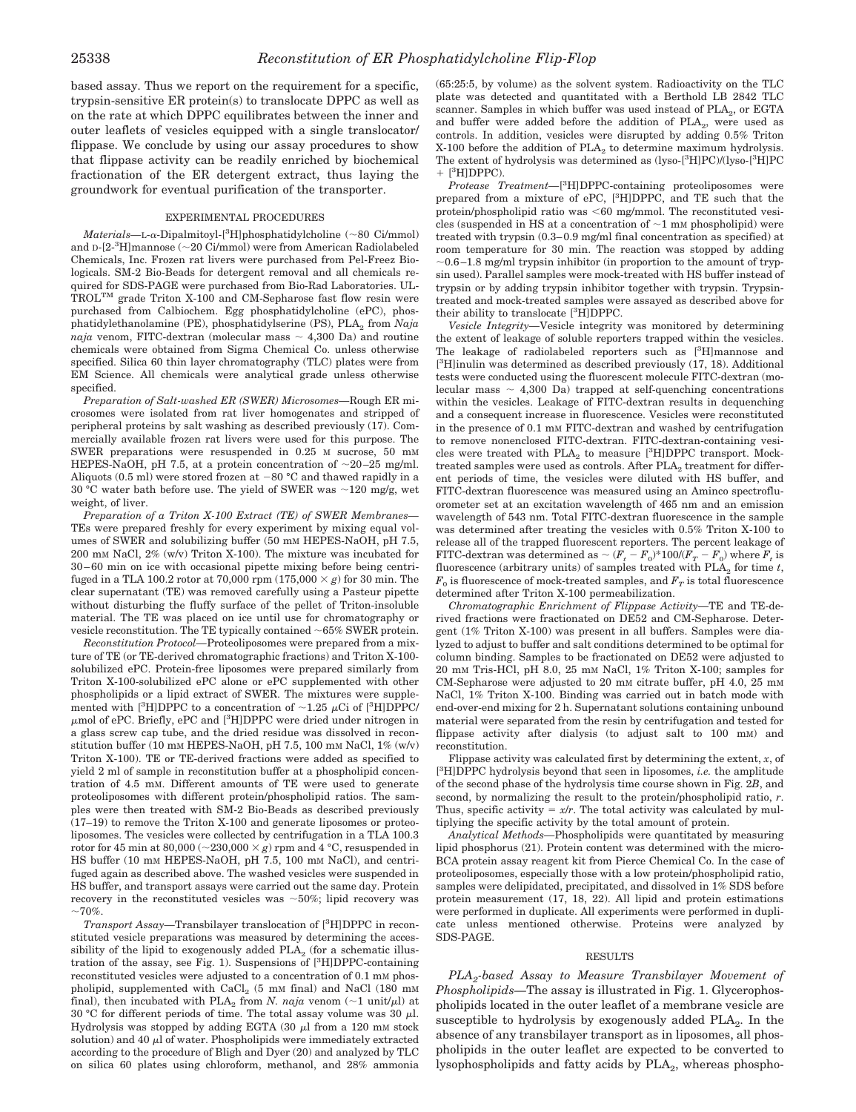based assay. Thus we report on the requirement for a specific, trypsin-sensitive ER protein(s) to translocate DPPC as well as on the rate at which DPPC equilibrates between the inner and outer leaflets of vesicles equipped with a single translocator/ flippase. We conclude by using our assay procedures to show that flippase activity can be readily enriched by biochemical fractionation of the ER detergent extract, thus laying the groundwork for eventual purification of the transporter.

## EXPERIMENTAL PROCEDURES

 $Materials—$ L- $\alpha$ -Dipalmitoyl-[<sup>3</sup>H]phosphatidylcholine (~80 Ci/mmol) and <sup>D</sup>-[2-3H]mannose (20 Ci/mmol) were from American Radiolabeled Chemicals, Inc. Frozen rat livers were purchased from Pel-Freez Biologicals. SM-2 Bio-Beads for detergent removal and all chemicals required for SDS-PAGE were purchased from Bio-Rad Laboratories. UL-TROLTM grade Triton X-100 and CM-Sepharose fast flow resin were purchased from Calbiochem. Egg phosphatidylcholine (ePC), phosphatidylethanolamine (PE), phosphatidylserine (PS), PLA<sub>2</sub> from *Naja naja* venom, FITC-dextran (molecular mass  $\sim$  4,300 Da) and routine chemicals were obtained from Sigma Chemical Co. unless otherwise specified. Silica 60 thin layer chromatography (TLC) plates were from EM Science. All chemicals were analytical grade unless otherwise specified.

*Preparation of Salt-washed ER (SWER) Microsomes—*Rough ER microsomes were isolated from rat liver homogenates and stripped of peripheral proteins by salt washing as described previously (17). Commercially available frozen rat livers were used for this purpose. The SWER preparations were resuspended in 0.25 M sucrose, 50 mM HEPES-NaOH, pH 7.5, at a protein concentration of  $\sim$ 20–25 mg/ml. Aliquots  $(0.5 \text{ ml})$  were stored frozen at  $-80 \text{ °C}$  and thawed rapidly in a 30 °C water bath before use. The yield of SWER was  $\sim$ 120 mg/g, wet weight, of liver.

*Preparation of a Triton X-100 Extract (TE) of SWER Membranes—* TEs were prepared freshly for every experiment by mixing equal volumes of SWER and solubilizing buffer (50 mm HEPES-NaOH, pH 7.5, 200 mM NaCl, 2% (w/v) Triton X-100). The mixture was incubated for 30–60 min on ice with occasional pipette mixing before being centrifuged in a TLA 100.2 rotor at 70,000 rpm  $(175,000 \times g)$  for 30 min. The clear supernatant (TE) was removed carefully using a Pasteur pipette without disturbing the fluffy surface of the pellet of Triton-insoluble material. The TE was placed on ice until use for chromatography or vesicle reconstitution. The TE typically contained  $\sim 65\%$  SWER protein.

*Reconstitution Protocol—*Proteoliposomes were prepared from a mixture of TE (or TE-derived chromatographic fractions) and Triton X-100 solubilized ePC. Protein-free liposomes were prepared similarly from Triton X-100-solubilized ePC alone or ePC supplemented with other phospholipids or a lipid extract of SWER. The mixtures were supplemented with [<sup>3</sup>H]DPPC to a concentration of  $\sim$ 1.25  $\mu$ Ci of [<sup>3</sup>H]DPPC/  $\mu$ mol of ePC. Briefly, ePC and [<sup>3</sup>H]DPPC were dried under nitrogen in a glass screw cap tube, and the dried residue was dissolved in reconstitution buffer (10 mM HEPES-NaOH, pH 7.5, 100 mM NaCl, 1% (w/v) Triton X-100). TE or TE-derived fractions were added as specified to yield 2 ml of sample in reconstitution buffer at a phospholipid concentration of 4.5 mM. Different amounts of TE were used to generate proteoliposomes with different protein/phospholipid ratios. The samples were then treated with SM-2 Bio-Beads as described previously (17–19) to remove the Triton X-100 and generate liposomes or proteoliposomes. The vesicles were collected by centrifugation in a TLA 100.3 rotor for 45 min at 80,000 ( $\sim$ 230,000  $\times$  *g*) rpm and 4 °C, resuspended in HS buffer (10 mM HEPES-NaOH, pH 7.5, 100 mM NaCl), and centrifuged again as described above. The washed vesicles were suspended in HS buffer, and transport assays were carried out the same day. Protein recovery in the reconstituted vesicles was  $~50\%$ ; lipid recovery was 70%.

*Transport Assay—*Transbilayer translocation of [3H]DPPC in reconstituted vesicle preparations was measured by determining the accessibility of the lipid to exogenously added  $\text{PLA}_2$  (for a schematic illustration of the assay, see Fig. 1). Suspensions of [3H]DPPC-containing reconstituted vesicles were adjusted to a concentration of 0.1 mM phospholipid, supplemented with  $CaCl<sub>2</sub>$  (5 mm final) and NaCl (180 mm final), then incubated with  $PLA_2$  from *N. naja* venom  $(\sim 1 \text{ unit/}\mu\text{l})$  at 30 °C for different periods of time. The total assay volume was 30  $\mu$ l. Hydrolysis was stopped by adding EGTA  $(30 \mu)$  from a 120 mm stock solution) and 40  $\mu$ l of water. Phospholipids were immediately extracted according to the procedure of Bligh and Dyer (20) and analyzed by TLC on silica 60 plates using chloroform, methanol, and 28% ammonia

(65:25:5, by volume) as the solvent system. Radioactivity on the TLC plate was detected and quantitated with a Berthold LB 2842 TLC scanner. Samples in which buffer was used instead of  $\text{PLA}_2$ , or EGTA and buffer were added before the addition of  $\text{PLA}_2$ , were used as controls. In addition, vesicles were disrupted by adding 0.5% Triton  $X-100$  before the addition of  $PLA_2$  to determine maximum hydrolysis. The extent of hydrolysis was determined as (lyso-[3H]PC)/(lyso-[3H]PC  $+$  [ ${}^{3}$ H]DPPC).

*Protease Treatment—*[ <sup>3</sup>H]DPPC-containing proteoliposomes were prepared from a mixture of ePC, [3H]DPPC, and TE such that the protein/phospholipid ratio was  $<60$  mg/mmol. The reconstituted vesicles (suspended in HS at a concentration of  $\sim$ 1 mM phospholipid) were treated with trypsin (0.3–0.9 mg/ml final concentration as specified) at room temperature for 30 min. The reaction was stopped by adding 0.6–1.8 mg/ml trypsin inhibitor (in proportion to the amount of trypsin used). Parallel samples were mock-treated with HS buffer instead of trypsin or by adding trypsin inhibitor together with trypsin. Trypsintreated and mock-treated samples were assayed as described above for their ability to translocate [3H]DPPC.

*Vesicle Integrity—*Vesicle integrity was monitored by determining the extent of leakage of soluble reporters trapped within the vesicles. The leakage of radiolabeled reporters such as [3H]mannose and [ <sup>3</sup>H]inulin was determined as described previously (17, 18). Additional tests were conducted using the fluorescent molecule FITC-dextran (molecular mass  $\sim$  4,300 Da) trapped at self-quenching concentrations within the vesicles. Leakage of FITC-dextran results in dequenching and a consequent increase in fluorescence. Vesicles were reconstituted in the presence of 0.1 mM FITC-dextran and washed by centrifugation to remove nonenclosed FITC-dextran. FITC-dextran-containing vesicles were treated with  $\rm{PLA}_2$  to measure [3H]DPPC transport. Mocktreated samples were used as controls. After  $\text{PLA}_2$  treatment for different periods of time, the vesicles were diluted with HS buffer, and FITC-dextran fluorescence was measured using an Aminco spectrofluorometer set at an excitation wavelength of 465 nm and an emission wavelength of 543 nm. Total FITC-dextran fluorescence in the sample was determined after treating the vesicles with 0.5% Triton X-100 to release all of the trapped fluorescent reporters. The percent leakage of FITC-dextran was determined as  $\sim (F_t - F_0)^* 100/(F_T - F_0)$  where  $F_t$  is fluorescence (arbitrary units) of samples treated with  $\text{PLA}_2$  for time *t*,  $F_{0}$  is fluorescence of mock-treated samples, and  $F_{T}$  is total fluorescence determined after Triton X-100 permeabilization.

*Chromatographic Enrichment of Flippase Activity—*TE and TE-derived fractions were fractionated on DE52 and CM-Sepharose. Detergent (1% Triton X-100) was present in all buffers. Samples were dialyzed to adjust to buffer and salt conditions determined to be optimal for column binding. Samples to be fractionated on DE52 were adjusted to 20 mM Tris-HCl, pH 8.0, 25 mM NaCl, 1% Triton X-100; samples for CM-Sepharose were adjusted to 20 mM citrate buffer, pH 4.0, 25 mM NaCl, 1% Triton X-100. Binding was carried out in batch mode with end-over-end mixing for 2 h. Supernatant solutions containing unbound material were separated from the resin by centrifugation and tested for flippase activity after dialysis (to adjust salt to 100 mM) and reconstitution.

Flippase activity was calculated first by determining the extent, *x*, of [ <sup>3</sup>H]DPPC hydrolysis beyond that seen in liposomes, *i.e.* the amplitude of the second phase of the hydrolysis time course shown in Fig. 2*B*, and second, by normalizing the result to the protein/phospholipid ratio, *r*. Thus, specific activity  $= x/r$ . The total activity was calculated by multiplying the specific activity by the total amount of protein.

*Analytical Methods—*Phospholipids were quantitated by measuring lipid phosphorus (21). Protein content was determined with the micro-BCA protein assay reagent kit from Pierce Chemical Co. In the case of proteoliposomes, especially those with a low protein/phospholipid ratio, samples were delipidated, precipitated, and dissolved in 1% SDS before protein measurement (17, 18, 22). All lipid and protein estimations were performed in duplicate. All experiments were performed in duplicate unless mentioned otherwise. Proteins were analyzed by SDS-PAGE.

## RESULTS

*PLA<sup>2</sup> -based Assay to Measure Transbilayer Movement of Phospholipids—*The assay is illustrated in Fig. 1. Glycerophospholipids located in the outer leaflet of a membrane vesicle are susceptible to hydrolysis by exogenously added  $\text{PLA}_2$ . In the absence of any transbilayer transport as in liposomes, all phospholipids in the outer leaflet are expected to be converted to lysophospholipids and fatty acids by  $\text{PLA}_2$ , whereas phospho-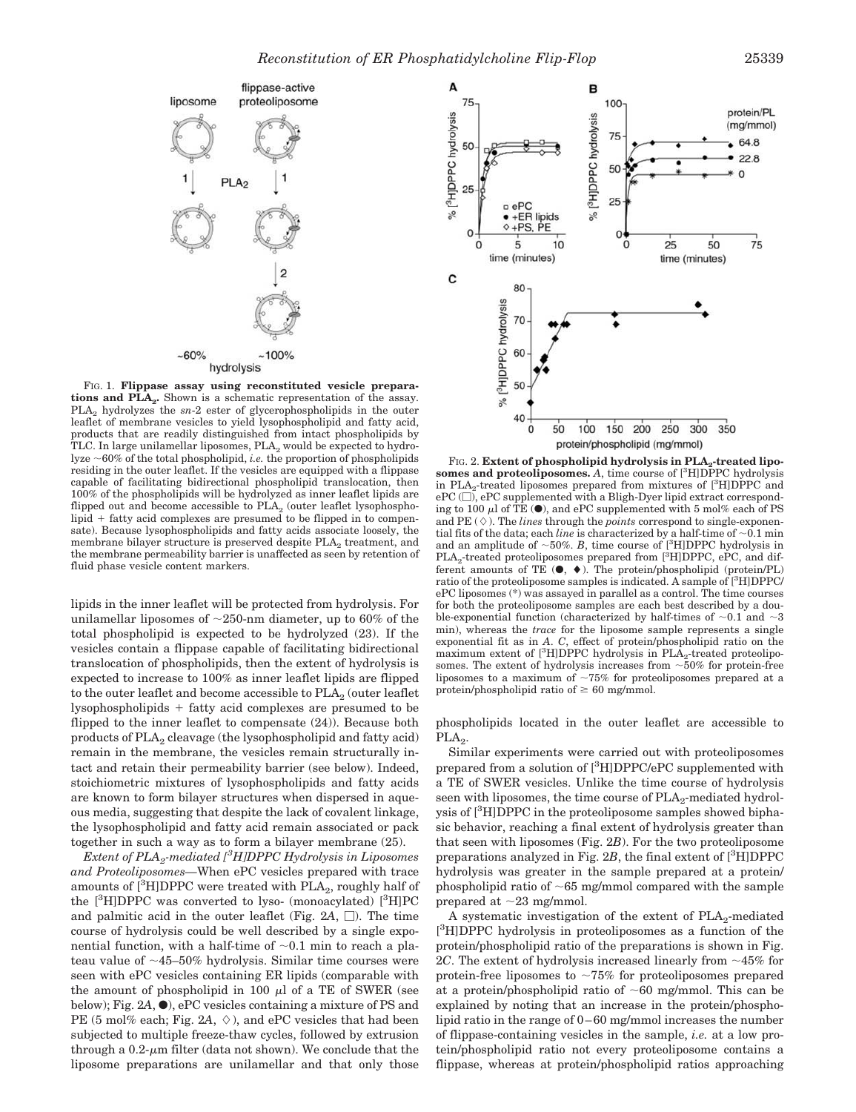

FIG. 1. **Flippase assay using reconstituted vesicle preparations and PLA<sup>2</sup> .** Shown is a schematic representation of the assay. PLA<sup>2</sup> hydrolyzes the *sn*-2 ester of glycerophospholipids in the outer leaflet of membrane vesicles to yield lysophospholipid and fatty acid, products that are readily distinguished from intact phospholipids by TLC. In large unilamellar liposomes,  $\text{PLA}_2$  would be expected to hydrolyze  $~60\%$  of the total phospholipid, *i.e.* the proportion of phospholipids residing in the outer leaflet. If the vesicles are equipped with a flippase capable of facilitating bidirectional phospholipid translocation, then 100% of the phospholipids will be hydrolyzed as inner leaflet lipids are flipped out and become accessible to  $\text{PLA}_2$  (outer leaflet lysophospho $lipid + fatty acid complexes are presumed to be flipped in to compen$ sate). Because lysophospholipids and fatty acids associate loosely, the membrane bilayer structure is preserved despite  $\text{PLA}_2$  treatment, and the membrane permeability barrier is unaffected as seen by retention of fluid phase vesicle content markers.

lipids in the inner leaflet will be protected from hydrolysis. For unilamellar liposomes of  $\sim$ 250-nm diameter, up to 60% of the total phospholipid is expected to be hydrolyzed (23). If the vesicles contain a flippase capable of facilitating bidirectional translocation of phospholipids, then the extent of hydrolysis is expected to increase to 100% as inner leaflet lipids are flipped to the outer leaflet and become accessible to  $\rm{PLA}_2$  (outer leaflet lysophospholipids fatty acid complexes are presumed to be flipped to the inner leaflet to compensate (24)). Because both  $\operatorname{products}$  of  $\operatorname{PLA}_2$  cleavage (the lysophospholipid and fatty acid) remain in the membrane, the vesicles remain structurally intact and retain their permeability barrier (see below). Indeed, stoichiometric mixtures of lysophospholipids and fatty acids are known to form bilayer structures when dispersed in aqueous media, suggesting that despite the lack of covalent linkage, the lysophospholipid and fatty acid remain associated or pack together in such a way as to form a bilayer membrane (25).

*Extent of PLA<sup>2</sup> -mediated [3H]DPPC Hydrolysis in Liposomes and Proteoliposomes—*When ePC vesicles prepared with trace amounts of  $[{}^3H]$ DPPC were treated with PLA<sub>2</sub>, roughly half of the  $[{}^{3}H]DPPC$  was converted to lyso- (monoacylated)  $[{}^{3}H]PC$ and palmitic acid in the outer leaflet (Fig.  $2A$ ,  $\Box$ ). The time course of hydrolysis could be well described by a single exponential function, with a half-time of  $\sim 0.1$  min to reach a plateau value of  $\sim$ 45–50% hydrolysis. Similar time courses were seen with ePC vesicles containing ER lipids (comparable with the amount of phospholipid in 100  $\mu$ l of a TE of SWER (see below); Fig. 2*A*, ●), ePC vesicles containing a mixture of PS and PE (5 mol% each; Fig.  $2A$ ,  $\Diamond$ ), and ePC vesicles that had been subjected to multiple freeze-thaw cycles, followed by extrusion through a  $0.2$ - $\mu$ m filter (data not shown). We conclude that the liposome preparations are unilamellar and that only those



FIG. 2. **Extent of phospholipid hydrolysis in PLA<sub>2</sub>-treated liposomes and proteoliposomes.** *A*, time course of [3H]DPPC hydrolysis in PLA<sub>2</sub>-treated liposomes prepared from mixtures of [<sup>3</sup>H]DPPC and  $ePC$  ( $\Box$ ),  $ePC$  supplemented with a Bligh-Dyer lipid extract corresponding to 100  $\mu$ l of TE ( $\bullet$ ), and ePC supplemented with 5 mol% each of PS and  $PE$  ( $\diamond$ ). The *lines* through the *points* correspond to single-exponential fits of the data; each *line* is characterized by a half-time of  $\sim 0.1$  min and an amplitude of  $\sim 50\%$ . *B*, time course of [<sup>3</sup>H]DPPC hydrolysis in PLA<sub>2</sub>-treated proteoliposomes prepared from [<sup>3</sup>H]DPPC, ePC, and different amounts of TE  $(\bullet, \bullet)$ . The protein/phospholipid (protein/PL) ratio of the proteoliposome samples is indicated. A sample of [3H]DPPC/ ePC liposomes (\*) was assayed in parallel as a control. The time courses for both the proteoliposome samples are each best described by a double-exponential function (characterized by half-times of  $\sim 0.1$  and  $\sim 3$ min), whereas the *trace* for the liposome sample represents a single exponential fit as in *A*. *C*, effect of protein/phospholipid ratio on the maximum extent of [<sup>3</sup>H]DPPC hydrolysis in PLA<sub>2</sub>-treated proteoliposomes. The extent of hydrolysis increases from  $~50\%$  for protein-free liposomes to a maximum of  $\sim 75\%$  for proteoliposomes prepared at a protein/phospholipid ratio of  $\geq 60$  mg/mmol.

phospholipids located in the outer leaflet are accessible to  $\mathsf{PLA}_2$ .

Similar experiments were carried out with proteoliposomes prepared from a solution of <sup>[3</sup>H]DPPC/ePC supplemented with a TE of SWER vesicles. Unlike the time course of hydrolysis seen with liposomes, the time course of  $\text{PLA}_2$ -mediated hydrolysis of  $[{}^{3}H]DPPC$  in the proteoliposome samples showed biphasic behavior, reaching a final extent of hydrolysis greater than that seen with liposomes (Fig. 2*B*). For the two proteoliposome preparations analyzed in Fig.  $2B$ , the final extent of  $[{}^{3}H]DPPC$ hydrolysis was greater in the sample prepared at a protein/ phospholipid ratio of  $\sim 65$  mg/mmol compared with the sample prepared at  $\sim$ 23 mg/mmol.

A systematic investigation of the extent of  $\text{PLA}_2$ -mediated [<sup>3</sup>H]DPPC hydrolysis in proteoliposomes as a function of the protein/phospholipid ratio of the preparations is shown in Fig. 2*C*. The extent of hydrolysis increased linearly from  $\sim$  45% for protein-free liposomes to  $\sim 75\%$  for proteoliposomes prepared at a protein/phospholipid ratio of  $\sim 60$  mg/mmol. This can be explained by noting that an increase in the protein/phospholipid ratio in the range of 0–60 mg/mmol increases the number of flippase-containing vesicles in the sample, *i.e.* at a low protein/phospholipid ratio not every proteoliposome contains a flippase, whereas at protein/phospholipid ratios approaching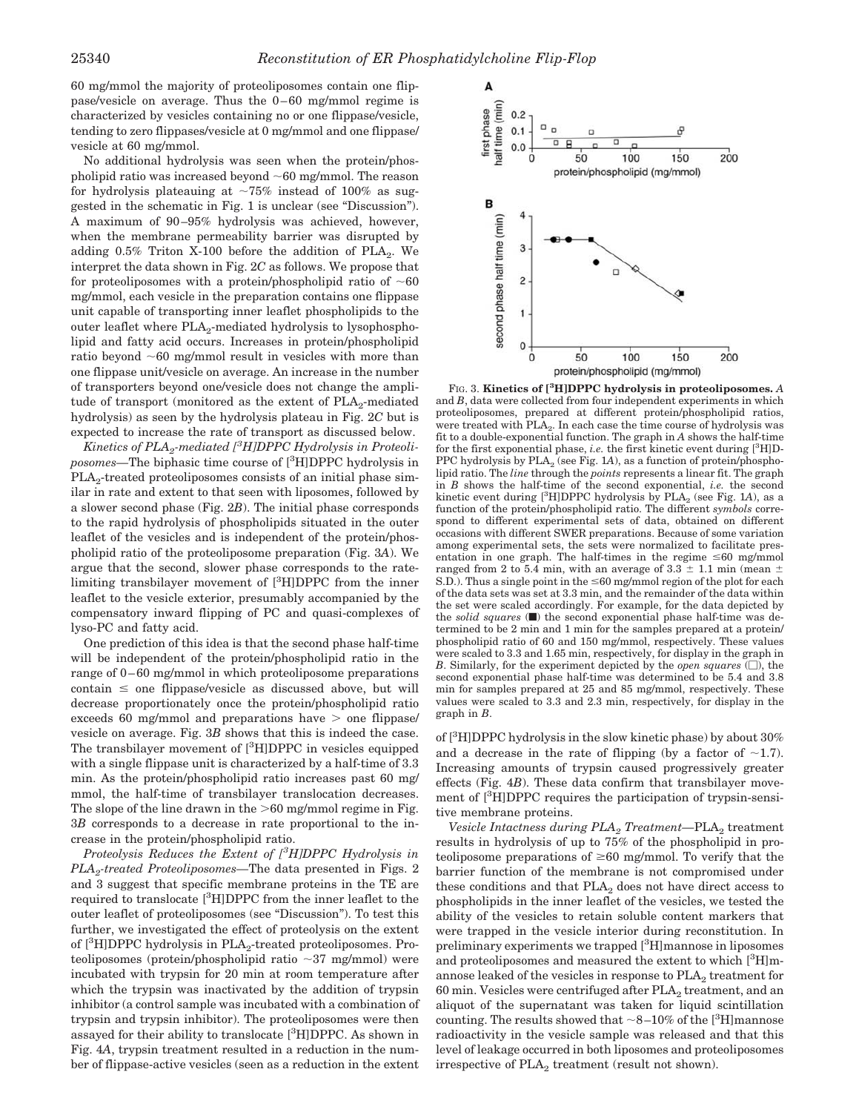60 mg/mmol the majority of proteoliposomes contain one flippase/vesicle on average. Thus the 0–60 mg/mmol regime is characterized by vesicles containing no or one flippase/vesicle, tending to zero flippases/vesicle at 0 mg/mmol and one flippase/ vesicle at 60 mg/mmol.

No additional hydrolysis was seen when the protein/phospholipid ratio was increased beyond  $~60$  mg/mmol. The reason for hydrolysis plateauing at  $\sim 75\%$  instead of 100% as suggested in the schematic in Fig. 1 is unclear (see "Discussion"). A maximum of 90–95% hydrolysis was achieved, however, when the membrane permeability barrier was disrupted by adding  $0.5\%$  Triton X-100 before the addition of PLA<sub>2</sub>. We interpret the data shown in Fig. 2*C* as follows. We propose that for proteoliposomes with a protein/phospholipid ratio of  $\sim 60$ mg/mmol, each vesicle in the preparation contains one flippase unit capable of transporting inner leaflet phospholipids to the outer leaflet where  $\text{PLA}_2$ -mediated hydrolysis to lysophospholipid and fatty acid occurs. Increases in protein/phospholipid ratio beyond  $\sim 60$  mg/mmol result in vesicles with more than one flippase unit/vesicle on average. An increase in the number of transporters beyond one/vesicle does not change the amplitude of transport (monitored as the extent of  $\text{PLA}_2\text{-mediated}$ hydrolysis) as seen by the hydrolysis plateau in Fig. 2*C* but is expected to increase the rate of transport as discussed below.

*Kinetics of PLA<sup>2</sup> -mediated [3H]DPPC Hydrolysis in Proteoliposomes—*The biphasic time course of [3H]DPPC hydrolysis in PLA<sub>2</sub>-treated proteoliposomes consists of an initial phase similar in rate and extent to that seen with liposomes, followed by a slower second phase (Fig. 2*B*). The initial phase corresponds to the rapid hydrolysis of phospholipids situated in the outer leaflet of the vesicles and is independent of the protein/phospholipid ratio of the proteoliposome preparation (Fig. 3*A*). We argue that the second, slower phase corresponds to the ratelimiting transbilayer movement of [3H]DPPC from the inner leaflet to the vesicle exterior, presumably accompanied by the compensatory inward flipping of PC and quasi-complexes of lyso-PC and fatty acid.

One prediction of this idea is that the second phase half-time will be independent of the protein/phospholipid ratio in the range of 0–60 mg/mmol in which proteoliposome preparations contain  $\leq$  one flippase/vesicle as discussed above, but will decrease proportionately once the protein/phospholipid ratio exceeds 60 mg/mmol and preparations have  $>$  one flippase/ vesicle on average. Fig. 3*B* shows that this is indeed the case. The transbilayer movement of  $\lceil^3H\rceil$ DPPC in vesicles equipped with a single flippase unit is characterized by a half-time of 3.3 min. As the protein/phospholipid ratio increases past 60 mg/ mmol, the half-time of transbilayer translocation decreases. The slope of the line drawn in the  $>60$  mg/mmol regime in Fig. 3*B* corresponds to a decrease in rate proportional to the increase in the protein/phospholipid ratio.

*Proteolysis Reduces the Extent of [3H]DPPC Hydrolysis in PLA<sup>2</sup> -treated Proteoliposomes—*The data presented in Figs. 2 and 3 suggest that specific membrane proteins in the TE are required to translocate [3H]DPPC from the inner leaflet to the outer leaflet of proteoliposomes (see "Discussion"). To test this further, we investigated the effect of proteolysis on the extent of  $[^{3}H]$ DPPC hydrolysis in PLA<sub>2</sub>-treated proteoliposomes. Proteoliposomes (protein/phospholipid ratio  $\sim$ 37 mg/mmol) were incubated with trypsin for 20 min at room temperature after which the trypsin was inactivated by the addition of trypsin inhibitor (a control sample was incubated with a combination of trypsin and trypsin inhibitor). The proteoliposomes were then assayed for their ability to translocate  $[{}^{3}H]DPPC$ . As shown in Fig. 4*A*, trypsin treatment resulted in a reduction in the number of flippase-active vesicles (seen as a reduction in the extent



FIG. 3. **Kinetics of [3H]DPPC hydrolysis in proteoliposomes.** *A* and *B*, data were collected from four independent experiments in which proteoliposomes, prepared at different protein/phospholipid ratios, were treated with  $\text{PLA}_2$ . In each case the time course of hydrolysis was fit to a double-exponential function. The graph in *A* shows the half-time for the first exponential phase, *i.e.* the first kinetic event during  $[^3H]D-$ PPC hydrolysis by  $\text{PLA}_2$  (see Fig. 1*A*), as a function of protein/phospholipid ratio. The *line* through the *points* represents a linear fit. The graph in *B* shows the half-time of the second exponential, *i.e.* the second kinetic event during  $[^{3}H]$ DPPC hydrolysis by  $PLA_{2}$  (see Fig. 1*A*), as a function of the protein/phospholipid ratio. The different *symbols* correspond to different experimental sets of data, obtained on different occasions with different SWER preparations. Because of some variation among experimental sets, the sets were normalized to facilitate presentation in one graph. The half-times in the regime  $\leq 60$  mg/mmol ranged from 2 to 5.4 min, with an average of 3.3  $\pm$  1.1 min (mean  $\pm$ S.D.). Thus a single point in the  $\leq 60$  mg/mmol region of the plot for each of the data sets was set at 3.3 min, and the remainder of the data within the set were scaled accordingly. For example, for the data depicted by the *solid squares*  $(\blacksquare)$  the second exponential phase half-time was determined to be 2 min and 1 min for the samples prepared at a protein/ phospholipid ratio of 60 and 150 mg/mmol, respectively. These values were scaled to 3.3 and 1.65 min, respectively, for display in the graph in *B*. Similarly, for the experiment depicted by the *open squares*  $(\Box)$ , the second exponential phase half-time was determined to be 5.4 and 3.8 min for samples prepared at 25 and 85 mg/mmol, respectively. These values were scaled to 3.3 and 2.3 min, respectively, for display in the graph in *B*.

of  $\binom{3}{1}$ DPPC hydrolysis in the slow kinetic phase) by about 30% and a decrease in the rate of flipping (by a factor of  $\sim$ 1.7). Increasing amounts of trypsin caused progressively greater effects (Fig. 4*B*). These data confirm that transbilayer movement of <sup>[3</sup>H]DPPC requires the participation of trypsin-sensitive membrane proteins.

*Vesicle Intactness during PLA<sup>2</sup> Treatment—*PLA<sup>2</sup> treatment results in hydrolysis of up to 75% of the phospholipid in proteoliposome preparations of  $\geq 60$  mg/mmol. To verify that the barrier function of the membrane is not compromised under these conditions and that  $PLA_2$  does not have direct access to phospholipids in the inner leaflet of the vesicles, we tested the ability of the vesicles to retain soluble content markers that were trapped in the vesicle interior during reconstitution. In preliminary experiments we trapped [3H]mannose in liposomes and proteoliposomes and measured the extent to which  $\binom{3}{1}$ mannose leaked of the vesicles in response to  $\text{PLA}_2$  treatment for 60 min. Vesicles were centrifuged after  $\text{PLA}_2$  treatment, and an aliquot of the supernatant was taken for liquid scintillation counting. The results showed that  $\sim$ 8–10% of the [<sup>3</sup>H]mannose radioactivity in the vesicle sample was released and that this level of leakage occurred in both liposomes and proteoliposomes irrespective of  $\text{PLA}_2$  treatment (result not shown).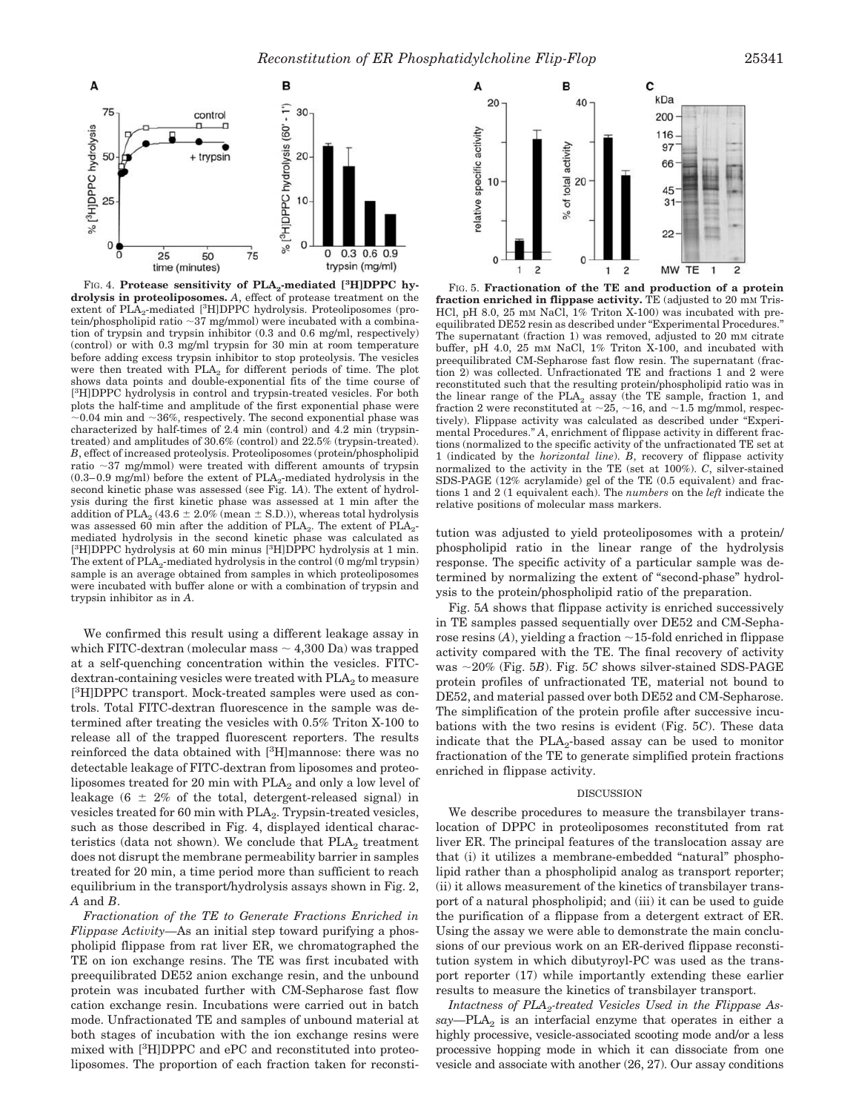

FIG. 4. **Protease sensitivity of PLA<sup>2</sup> -mediated [3H]DPPC hydrolysis in proteoliposomes.** *A*, effect of protease treatment on the extent of PLA<sub>2</sub>-mediated [<sup>3</sup>H]DPPC hydrolysis. Proteoliposomes (protein/phospholipid ratio  $\sim$  37 mg/mmol) were incubated with a combination of trypsin and trypsin inhibitor (0.3 and 0.6 mg/ml, respectively) (control) or with 0.3 mg/ml trypsin for 30 min at room temperature before adding excess trypsin inhibitor to stop proteolysis. The vesicles were then treated with  $\text{PLA}_2$  for different periods of time. The plot shows data points and double-exponential fits of the time course of [<sup>3</sup>H]DPPC hydrolysis in control and trypsin-treated vesicles. For both plots the half-time and amplitude of the first exponential phase were  $-0.04$  min and  $\sim$  36%, respectively. The second exponential phase was characterized by half-times of 2.4 min (control) and 4.2 min (trypsintreated) and amplitudes of 30.6% (control) and 22.5% (trypsin-treated). *B*, effect of increased proteolysis. Proteoliposomes (protein/phospholipid ratio  $\sim$ 37 mg/mmol) were treated with different amounts of trypsin  $(0.3-0.9 \text{ mg/ml})$  before the extent of  $\text{PLA}_2$ -mediated hydrolysis in the second kinetic phase was assessed (see Fig. 1*A*). The extent of hydrolysis during the first kinetic phase was assessed at 1 min after the addition of  $\text{PLA}_2$  (43.6  $\pm$  2.0% (mean  $\pm$  S.D.)), whereas total hydrolysis was assessed 60 min after the addition of  $\text{PLA}_2$ . The extent of  $\text{PLA}_2$ mediated hydrolysis in the second kinetic phase was calculated as [<sup>3</sup>H]DPPC hydrolysis at 60 min minus [<sup>3</sup>H]DPPC hydrolysis at 1 min. The extent of  $\text{PLA}_2\text{-mediated hydrolysis}$  in the control (0 mg/ml trypsin) sample is an average obtained from samples in which proteoliposomes were incubated with buffer alone or with a combination of trypsin and trypsin inhibitor as in *A*.

We confirmed this result using a different leakage assay in which FITC-dextran (molecular mass  $\sim$  4,300 Da) was trapped at a self-quenching concentration within the vesicles. FITC- $\rm{dextran\text{-}containing}$  vesicles were treated with  $\rm{PLA}_2$  to measure [<sup>3</sup>H]DPPC transport. Mock-treated samples were used as controls. Total FITC-dextran fluorescence in the sample was determined after treating the vesicles with 0.5% Triton X-100 to release all of the trapped fluorescent reporters. The results reinforced the data obtained with  $[{}^{3}H]$ mannose: there was no detectable leakage of FITC-dextran from liposomes and proteoliposomes treated for 20 min with  $PLA_2$  and only a low level of leakage  $(6 \pm 2\%$  of the total, detergent-released signal) in vesicles treated for 60 min with  $\text{PLA}_2$ . Trypsin-treated vesicles, such as those described in Fig. 4, displayed identical characteristics (data not shown). We conclude that  $\text{PLA}_2$  treatment does not disrupt the membrane permeability barrier in samples treated for 20 min, a time period more than sufficient to reach equilibrium in the transport/hydrolysis assays shown in Fig. 2, *A* and *B*.

*Fractionation of the TE to Generate Fractions Enriched in Flippase Activity—*As an initial step toward purifying a phospholipid flippase from rat liver ER, we chromatographed the TE on ion exchange resins. The TE was first incubated with preequilibrated DE52 anion exchange resin, and the unbound protein was incubated further with CM-Sepharose fast flow cation exchange resin. Incubations were carried out in batch mode. Unfractionated TE and samples of unbound material at both stages of incubation with the ion exchange resins were mixed with <sup>[3</sup>H]DPPC and ePC and reconstituted into proteoliposomes. The proportion of each fraction taken for reconsti-



FIG. 5. **Fractionation of the TE and production of a protein** fraction enriched in flippase activity. TE (adjusted to 20 mm Tris-HCl, pH 8.0, 25 mM NaCl, 1% Triton X-100) was incubated with preequilibrated DE52 resin as described under "Experimental Procedures." The supernatant (fraction 1) was removed, adjusted to 20 mm citrate buffer, pH 4.0, 25 mM NaCl, 1% Triton X-100, and incubated with preequilibrated CM-Sepharose fast flow resin. The supernatant (fraction 2) was collected. Unfractionated TE and fractions 1 and 2 were reconstituted such that the resulting protein/phospholipid ratio was in the linear range of the  $PLA_2$  assay (the TE sample, fraction 1, and fraction 2 were reconstituted at  $\sim$  25,  $\sim$  16, and  $\sim$  1.5 mg/mmol, respectively). Flippase activity was calculated as described under "Experimental Procedures." *A*, enrichment of flippase activity in different fractions (normalized to the specific activity of the unfractionated TE set at 1 (indicated by the *horizontal line*). *B*, recovery of flippase activity normalized to the activity in the TE (set at 100%). *C*, silver-stained SDS-PAGE (12% acrylamide) gel of the TE (0.5 equivalent) and fractions 1 and 2 (1 equivalent each). The *numbers* on the *left* indicate the relative positions of molecular mass markers.

tution was adjusted to yield proteoliposomes with a protein/ phospholipid ratio in the linear range of the hydrolysis response. The specific activity of a particular sample was determined by normalizing the extent of "second-phase" hydrolysis to the protein/phospholipid ratio of the preparation.

Fig. 5*A* shows that flippase activity is enriched successively in TE samples passed sequentially over DE52 and CM-Sepharose resins  $(A)$ , yielding a fraction  $\sim$  15-fold enriched in flippase activity compared with the TE. The final recovery of activity was  $\sim$ 20% (Fig. 5*B*). Fig. 5*C* shows silver-stained SDS-PAGE protein profiles of unfractionated TE, material not bound to DE52, and material passed over both DE52 and CM-Sepharose. The simplification of the protein profile after successive incubations with the two resins is evident (Fig. 5*C*). These data indicate that the  $\rm{PLA}_2$ -based assay can be used to monitor fractionation of the TE to generate simplified protein fractions enriched in flippase activity.

### DISCUSSION

We describe procedures to measure the transbilayer translocation of DPPC in proteoliposomes reconstituted from rat liver ER. The principal features of the translocation assay are that (i) it utilizes a membrane-embedded "natural" phospholipid rather than a phospholipid analog as transport reporter; (ii) it allows measurement of the kinetics of transbilayer transport of a natural phospholipid; and (iii) it can be used to guide the purification of a flippase from a detergent extract of ER. Using the assay we were able to demonstrate the main conclusions of our previous work on an ER-derived flippase reconstitution system in which dibutyroyl-PC was used as the transport reporter (17) while importantly extending these earlier results to measure the kinetics of transbilayer transport.

*Intactness of PLA<sup>2</sup> -treated Vesicles Used in the Flippase As* $say$ —PLA<sub>2</sub> is an interfacial enzyme that operates in either a highly processive, vesicle-associated scooting mode and/or a less processive hopping mode in which it can dissociate from one vesicle and associate with another (26, 27). Our assay conditions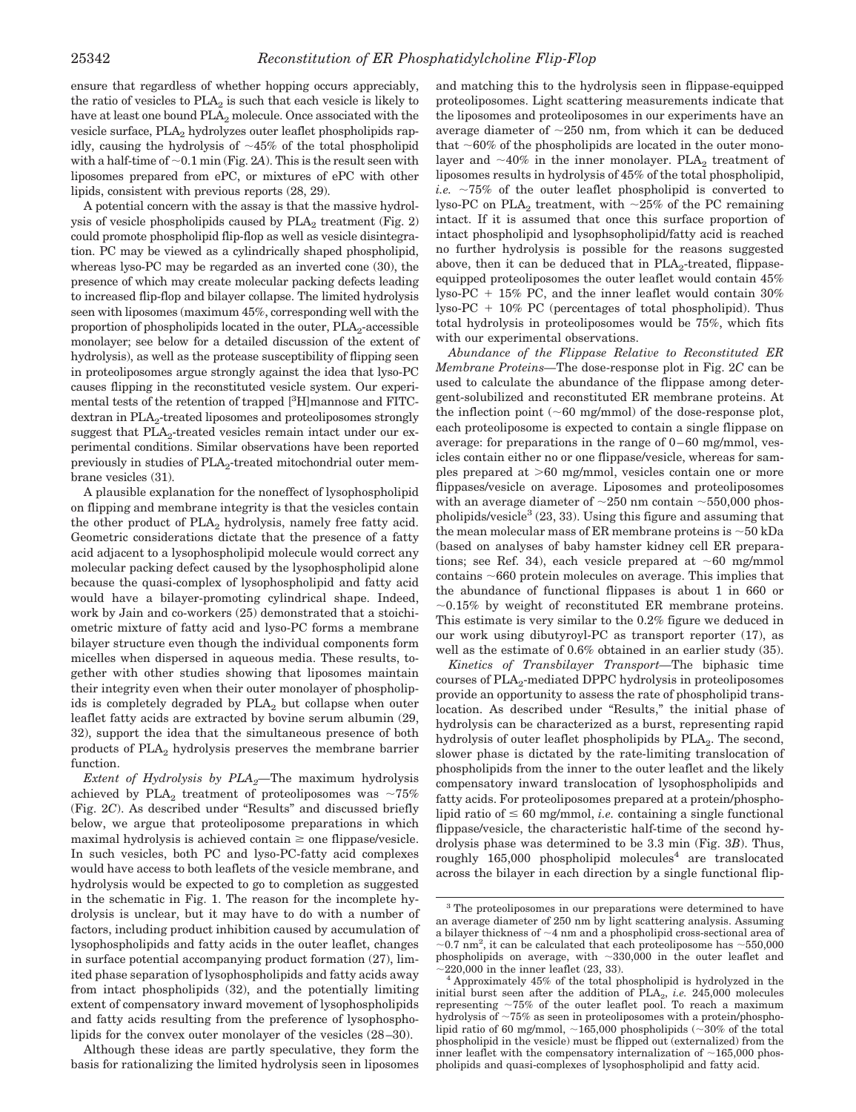ensure that regardless of whether hopping occurs appreciably, the ratio of vesicles to  $PLA_2$  is such that each vesicle is likely to have at least one bound  $\text{PLA}_2$  molecule. Once associated with the vesicle surface, PLA<sub>2</sub> hydrolyzes outer leaflet phospholipids rapidly, causing the hydrolysis of  $~15\%$  of the total phospholipid with a half-time of  $\sim$  0.1 min (Fig. 2A). This is the result seen with liposomes prepared from ePC, or mixtures of ePC with other lipids, consistent with previous reports (28, 29).

A potential concern with the assay is that the massive hydrolysis of vesicle phospholipids caused by  $\text{PLA}_2$  treatment (Fig. 2) could promote phospholipid flip-flop as well as vesicle disintegration. PC may be viewed as a cylindrically shaped phospholipid, whereas lyso-PC may be regarded as an inverted cone (30), the presence of which may create molecular packing defects leading to increased flip-flop and bilayer collapse. The limited hydrolysis seen with liposomes (maximum 45%, corresponding well with the proportion of phospholipids located in the outer,  $\text{PLA}_2$ -accessible monolayer; see below for a detailed discussion of the extent of hydrolysis), as well as the protease susceptibility of flipping seen in proteoliposomes argue strongly against the idea that lyso-PC causes flipping in the reconstituted vesicle system. Our experimental tests of the retention of trapped [<sup>3</sup>H]mannose and FITCdextran in  $\text{PLA}_2$ -treated liposomes and proteoliposomes strongly suggest that  $\text{PLA}_2$ -treated vesicles remain intact under our experimental conditions. Similar observations have been reported previously in studies of  $\text{PLA}_2$ -treated mitochondrial outer membrane vesicles (31).

A plausible explanation for the noneffect of lysophospholipid on flipping and membrane integrity is that the vesicles contain the other product of PLA<sub>2</sub> hydrolysis, namely free fatty acid. Geometric considerations dictate that the presence of a fatty acid adjacent to a lysophospholipid molecule would correct any molecular packing defect caused by the lysophospholipid alone because the quasi-complex of lysophospholipid and fatty acid would have a bilayer-promoting cylindrical shape. Indeed, work by Jain and co-workers (25) demonstrated that a stoichiometric mixture of fatty acid and lyso-PC forms a membrane bilayer structure even though the individual components form micelles when dispersed in aqueous media. These results, together with other studies showing that liposomes maintain their integrity even when their outer monolayer of phospholipids is completely degraded by PLA<sub>2</sub> but collapse when outer leaflet fatty acids are extracted by bovine serum albumin (29, 32), support the idea that the simultaneous presence of both products of PLA<sub>2</sub> hydrolysis preserves the membrane barrier function.

*Extent of Hydrolysis by PLA2—*The maximum hydrolysis achieved by PLA<sub>2</sub> treatment of proteoliposomes was  $\sim$ 75% (Fig. 2*C*). As described under "Results" and discussed briefly below, we argue that proteoliposome preparations in which maximal hydrolysis is achieved contain  $\geq$  one flippase/vesicle. In such vesicles, both PC and lyso-PC-fatty acid complexes would have access to both leaflets of the vesicle membrane, and hydrolysis would be expected to go to completion as suggested in the schematic in Fig. 1. The reason for the incomplete hydrolysis is unclear, but it may have to do with a number of factors, including product inhibition caused by accumulation of lysophospholipids and fatty acids in the outer leaflet, changes in surface potential accompanying product formation (27), limited phase separation of lysophospholipids and fatty acids away from intact phospholipids (32), and the potentially limiting extent of compensatory inward movement of lysophospholipids and fatty acids resulting from the preference of lysophospholipids for the convex outer monolayer of the vesicles (28–30).

Although these ideas are partly speculative, they form the basis for rationalizing the limited hydrolysis seen in liposomes

and matching this to the hydrolysis seen in flippase-equipped proteoliposomes. Light scattering measurements indicate that the liposomes and proteoliposomes in our experiments have an average diameter of  $\sim$ 250 nm, from which it can be deduced that  $~60\%$  of the phospholipids are located in the outer monolayer and  $\sim$ 40% in the inner monolayer. PLA<sub>2</sub> treatment of liposomes results in hydrolysis of 45% of the total phospholipid, *i.e.*  $\sim$ 75% of the outer leaflet phospholipid is converted to lyso-PC on  $\text{PLA}_2$  treatment, with  $\sim$ 25% of the PC remaining intact. If it is assumed that once this surface proportion of intact phospholipid and lysophsopholipid/fatty acid is reached no further hydrolysis is possible for the reasons suggested above, then it can be deduced that in  $\text{PLA}_2\text{-treated}$ , flippaseequipped proteoliposomes the outer leaflet would contain 45% lyso-PC  $+$  15% PC, and the inner leaflet would contain 30% lyso-PC  $+$  10% PC (percentages of total phospholipid). Thus total hydrolysis in proteoliposomes would be 75%, which fits with our experimental observations.

*Abundance of the Flippase Relative to Reconstituted ER Membrane Proteins—*The dose-response plot in Fig. 2*C* can be used to calculate the abundance of the flippase among detergent-solubilized and reconstituted ER membrane proteins. At the inflection point  $(~60$  mg/mmol) of the dose-response plot, each proteoliposome is expected to contain a single flippase on average: for preparations in the range of 0–60 mg/mmol, vesicles contain either no or one flippase/vesicle, whereas for samples prepared at  $>60$  mg/mmol, vesicles contain one or more flippases/vesicle on average. Liposomes and proteoliposomes with an average diameter of  $\sim$ 250 nm contain  $\sim$ 550,000 phospholipids/vesicle<sup>3</sup> (23, 33). Using this figure and assuming that the mean molecular mass of ER membrane proteins is  $\sim$  50 kDa (based on analyses of baby hamster kidney cell ER preparations; see Ref. 34), each vesicle prepared at  $~60$  mg/mmol contains  $~660$  protein molecules on average. This implies that the abundance of functional flippases is about 1 in 660 or 0.15% by weight of reconstituted ER membrane proteins. This estimate is very similar to the 0.2% figure we deduced in our work using dibutyroyl-PC as transport reporter (17), as well as the estimate of 0.6% obtained in an earlier study (35).

*Kinetics of Transbilayer Transport—*The biphasic time courses of  $\rm{PLA}_2$ -mediated DPPC hydrolysis in proteoliposomes provide an opportunity to assess the rate of phospholipid translocation. As described under "Results," the initial phase of hydrolysis can be characterized as a burst, representing rapid hydrolysis of outer leaflet phospholipids by  $\text{PLA}_2$ . The second, slower phase is dictated by the rate-limiting translocation of phospholipids from the inner to the outer leaflet and the likely compensatory inward translocation of lysophospholipids and fatty acids. For proteoliposomes prepared at a protein/phospholipid ratio of  $\leq 60$  mg/mmol, *i.e.* containing a single functional flippase/vesicle, the characteristic half-time of the second hydrolysis phase was determined to be 3.3 min (Fig. 3*B*). Thus, roughly 165,000 phospholipid molecules<sup>4</sup> are translocated across the bilayer in each direction by a single functional flip-

<sup>&</sup>lt;sup>3</sup> The proteoliposomes in our preparations were determined to have an average diameter of 250 nm by light scattering analysis. Assuming a bilayer thickness of  $\sim$ 4 nm and a phospholipid cross-sectional area of  $\sim$ 0.7 nm<sup>2</sup>, it can be calculated that each proteoliposome has  $\sim$  550,000 phospholipids on average, with  $\sim$ 330,000 in the outer leaflet and 220,000 in the inner leaflet (23, 33).

<sup>4</sup> Approximately 45% of the total phospholipid is hydrolyzed in the initial burst seen after the addition of  $PLA_2$ , *i.e.* 245,000 molecules representing  $\sim 75\%$  of the outer leaflet pool. To reach a maximum hydrolysis of  ${\sim}75\%$  as seen in proteoliposomes with a protein/phospholipid ratio of 60 mg/mmol,  $\sim$ 165,000 phospholipids ( $\sim$ 30% of the total phospholipid in the vesicle) must be flipped out (externalized) from the inner leaflet with the compensatory internalization of  $\sim$ 165,000 phospholipids and quasi-complexes of lysophospholipid and fatty acid.